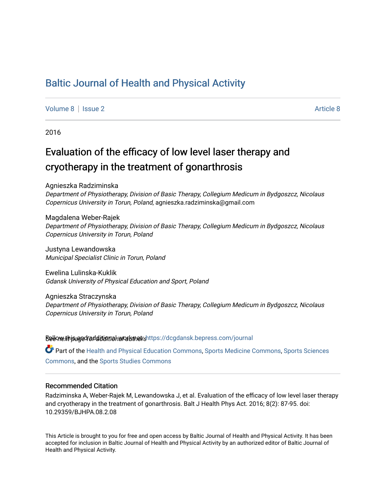# [Baltic Journal of Health and Physical Activity](https://dcgdansk.bepress.com/journal)

[Volume 8](https://dcgdansk.bepress.com/journal/vol8) | [Issue 2](https://dcgdansk.bepress.com/journal/vol8/iss2) Article 8

2016

# Evaluation of the efficacy of low level laser therapy and cryotherapy in the treatment of gonarthrosis

Agnieszka Radziminska

Department of Physiotherapy, Division of Basic Therapy, Collegium Medicum in Bydgoszcz, Nicolaus Copernicus University in Torun, Poland, agnieszka.radziminska@gmail.com

Magdalena Weber-Rajek Department of Physiotherapy, Division of Basic Therapy, Collegium Medicum in Bydgoszcz, Nicolaus Copernicus University in Torun, Poland

Justyna Lewandowska Municipal Specialist Clinic in Torun, Poland

Ewelina Lulinska-Kuklik Gdansk University of Physical Education and Sport, Poland

Agnieszka Straczynska Department of Physiotherapy, Division of Basic Therapy, Collegium Medicum in Bydgoszcz, Nicolaus Copernicus University in Torun, Poland

Sellow this ane diditional authors Follow this Follow this and additional sellow this and additional sellow that

Part of the [Health and Physical Education Commons](http://network.bepress.com/hgg/discipline/1327?utm_source=dcgdansk.bepress.com%2Fjournal%2Fvol8%2Fiss2%2F8&utm_medium=PDF&utm_campaign=PDFCoverPages), [Sports Medicine Commons,](http://network.bepress.com/hgg/discipline/1331?utm_source=dcgdansk.bepress.com%2Fjournal%2Fvol8%2Fiss2%2F8&utm_medium=PDF&utm_campaign=PDFCoverPages) [Sports Sciences](http://network.bepress.com/hgg/discipline/759?utm_source=dcgdansk.bepress.com%2Fjournal%2Fvol8%2Fiss2%2F8&utm_medium=PDF&utm_campaign=PDFCoverPages) [Commons](http://network.bepress.com/hgg/discipline/759?utm_source=dcgdansk.bepress.com%2Fjournal%2Fvol8%2Fiss2%2F8&utm_medium=PDF&utm_campaign=PDFCoverPages), and the [Sports Studies Commons](http://network.bepress.com/hgg/discipline/1198?utm_source=dcgdansk.bepress.com%2Fjournal%2Fvol8%2Fiss2%2F8&utm_medium=PDF&utm_campaign=PDFCoverPages) 

#### Recommended Citation

Radziminska A, Weber-Rajek M, Lewandowska J, et al. Evaluation of the efficacy of low level laser therapy and cryotherapy in the treatment of gonarthrosis. Balt J Health Phys Act. 2016; 8(2): 87-95. doi: 10.29359/BJHPA.08.2.08

This Article is brought to you for free and open access by Baltic Journal of Health and Physical Activity. It has been accepted for inclusion in Baltic Journal of Health and Physical Activity by an authorized editor of Baltic Journal of Health and Physical Activity.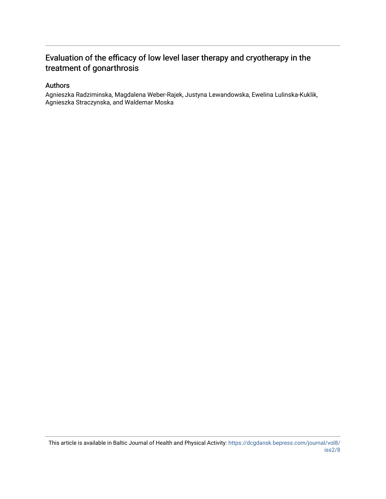## Evaluation of the efficacy of low level laser therapy and cryotherapy in the treatment of gonarthrosis

#### Authors

Agnieszka Radziminska, Magdalena Weber-Rajek, Justyna Lewandowska, Ewelina Lulinska-Kuklik, Agnieszka Straczynska, and Waldemar Moska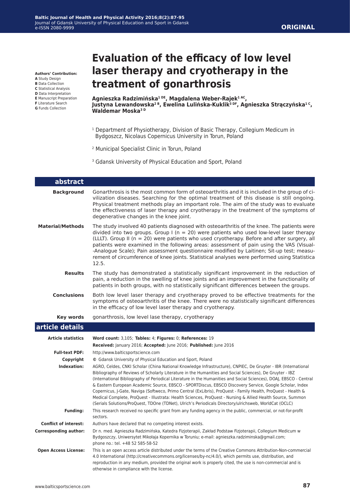**Authors' Contribution:**

- **A** Study Design
- **B** Data Collection **C** Statistical Analysis
- **D** Data Interpretation
- **E** Manuscript Preparation
- **F** Literature Search
- **G** Funds Collection

# **Evaluation of the efficacy of low level laser therapy and cryotherapy in the treatment of gonarthrosis**

**Agnieszka Radzimińska1 DE, Magdalena Weber-Rajek1 AC, Justyna Lewandowska2 B, Ewelina Lulińska-Kuklik3 DF, Agnieszka Strączyńska1 C, Waldemar Moska3 D**

- <sup>1</sup> Department of Physiotherapy, Division of Basic Therapy, Collegium Medicum in Bydgoszcz, Nicolaus Copernicus University in Torun, Poland
- 2 Municipal Specialist Clinic in Torun, Poland
- <sup>3</sup> Gdansk University of Physical Education and Sport, Poland

| abstract                     |                                                                                                                                                                                                                                                                                                                                                                                                                                                                                                                                                                                                                                                                                                                                                                                                                                                                     |
|------------------------------|---------------------------------------------------------------------------------------------------------------------------------------------------------------------------------------------------------------------------------------------------------------------------------------------------------------------------------------------------------------------------------------------------------------------------------------------------------------------------------------------------------------------------------------------------------------------------------------------------------------------------------------------------------------------------------------------------------------------------------------------------------------------------------------------------------------------------------------------------------------------|
| <b>Background</b>            | Gonarthrosis is the most common form of osteoarthritis and it is included in the group of ci-<br>vilization diseases. Searching for the optimal treatment of this disease is still ongoing.<br>Physical treatment methods play an important role. The aim of the study was to evaluate<br>the effectiveness of laser therapy and cryotherapy in the treatment of the symptoms of<br>degenerative changes in the knee joint.                                                                                                                                                                                                                                                                                                                                                                                                                                         |
| <b>Material/Methods</b>      | The study involved 40 patients diagnosed with osteoarthritis of the knee. The patients were<br>divided into two groups. Group I ( $n = 20$ ) were patients who used low-level laser therapy<br>(LLLT). Group II (n = 20) were patients who used cryotherapy. Before and after surgery, all<br>patients were examined in the following areas: assessment of pain using the VAS (Visual-<br>-Analogue Scale); Pain assessment guestionnaire modified by Laitinen; Sit-up test; measu-<br>rement of circumference of knee joints. Statistical analyses were performed using Statistica<br>12.5.                                                                                                                                                                                                                                                                        |
| <b>Results</b>               | The study has demonstrated a statistically significant improvement in the reduction of<br>pain, a reduction in the swelling of knee joints and an improvement in the functionality of<br>patients in both groups, with no statistically significant differences between the groups.                                                                                                                                                                                                                                                                                                                                                                                                                                                                                                                                                                                 |
| <b>Conclusions</b>           | Both low level laser therapy and cryotherapy proved to be effective treatments for the<br>symptoms of osteoarthritis of the knee. There were no statistically significant differences<br>in the efficacy of low level laser therapy and cryotherapy.                                                                                                                                                                                                                                                                                                                                                                                                                                                                                                                                                                                                                |
| <b>Key words</b>             | gonarthrosis, low level lase therapy, cryotherapy                                                                                                                                                                                                                                                                                                                                                                                                                                                                                                                                                                                                                                                                                                                                                                                                                   |
| article details              |                                                                                                                                                                                                                                                                                                                                                                                                                                                                                                                                                                                                                                                                                                                                                                                                                                                                     |
| <b>Article statistics</b>    | Word count: 3,105; Tables: 4; Figures: 0; References: 19                                                                                                                                                                                                                                                                                                                                                                                                                                                                                                                                                                                                                                                                                                                                                                                                            |
|                              | Received: January 2016; Accepted: June 2016; Published: June 2016                                                                                                                                                                                                                                                                                                                                                                                                                                                                                                                                                                                                                                                                                                                                                                                                   |
| <b>Full-text PDF:</b>        | http://www.balticsportscience.com                                                                                                                                                                                                                                                                                                                                                                                                                                                                                                                                                                                                                                                                                                                                                                                                                                   |
| Copyright<br>Indexation:     | © Gdansk University of Physical Education and Sport, Poland<br>AGRO, Celdes, CNKI Scholar (China National Knowledge Infrastructure), CNPIEC, De Gruyter - IBR (International<br>Bibliography of Reviews of Scholarly Literature in the Humanities and Social Sciences), De Gruyter - IBZ<br>(International Bibliography of Periodical Literature in the Humanities and Social Sciences), DOAJ, EBSCO - Central<br>& Eastern European Academic Source, EBSCO - SPORTDiscus, EBSCO Discovery Service, Google Scholar, Index<br>Copernicus, J-Gate, Naviga (Softweco, Primo Central (ExLibris), ProQuest - Family Health, ProQuest - Health &<br>Medical Complete, ProQuest - Illustrata: Health Sciences, ProQuest - Nursing & Allied Health Source, Summon<br>(Serials Solutions/ProQuest, TDOne (TDNet), Ulrich's Periodicals Directory/ulrichsweb, WorldCat (OCLC) |
| <b>Funding:</b>              | This research received no specific grant from any funding agency in the public, commercial, or not-for-profit<br>sectors.                                                                                                                                                                                                                                                                                                                                                                                                                                                                                                                                                                                                                                                                                                                                           |
| <b>Conflict of interest:</b> | Authors have declared that no competing interest exists.                                                                                                                                                                                                                                                                                                                                                                                                                                                                                                                                                                                                                                                                                                                                                                                                            |
| <b>Corresponding author:</b> | Dr n. med. Agnieszka Radzimińska, Katedra Fizjoterapii, Zakład Podstaw Fizjoterapii, Collegium Medicum w<br>Bydgoszczy, Uniwersytet Mikołaja Kopernika w Toruniu; e-mail: agnieszka.radziminska@gmail.com;<br>phone no.: tel. +48 52 585-58-52                                                                                                                                                                                                                                                                                                                                                                                                                                                                                                                                                                                                                      |
| <b>Open Access License:</b>  | This is an open access article distributed under the terms of the Creative Commons Attribution-Non-commercial<br>4.0 International (http://creativecommons.org/licenses/by-nc/4.0/), which permits use, distribution, and<br>reproduction in any medium, provided the original work is properly cited, the use is non-commercial and is<br>otherwise in compliance with the license.                                                                                                                                                                                                                                                                                                                                                                                                                                                                                |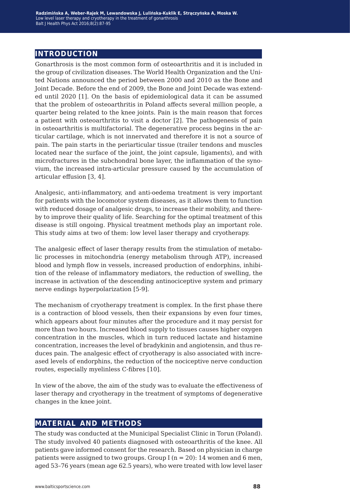## **introduction**

Gonarthrosis is the most common form of osteoarthritis and it is included in the group of civilization diseases. The World Health Organization and the United Nations announced the period between 2000 and 2010 as the Bone and Joint Decade. Before the end of 2009, the Bone and Joint Decade was extended until 2020 [1]. On the basis of epidemiological data it can be assumed that the problem of osteoarthritis in Poland affects several million people, a quarter being related to the knee joints. Pain is the main reason that forces a patient with osteoarthritis to visit a doctor [2]. The pathogenesis of pain in osteoarthritis is multifactorial. The degenerative process begins in the articular cartilage, which is not innervated and therefore it is not a source of pain. The pain starts in the periarticular tissue (trailer tendons and muscles located near the surface of the joint, the joint capsule, ligaments), and with microfractures in the subchondral bone layer, the inflammation of the synovium, the increased intra-articular pressure caused by the accumulation of articular effusion [3, 4].

Analgesic, anti-inflammatory, and anti-oedema treatment is very important for patients with the locomotor system diseases, as it allows them to function with reduced dosage of analgesic drugs, to increase their mobility, and thereby to improve their quality of life. Searching for the optimal treatment of this disease is still ongoing. Physical treatment methods play an important role. This study aims at two of them: low level laser therapy and cryotherapy.

The analgesic effect of laser therapy results from the stimulation of metabolic processes in mitochondria (energy metabolism through ATP), increased blood and lymph flow in vessels, increased production of endorphins, inhibition of the release of inflammatory mediators, the reduction of swelling, the increase in activation of the descending antinociceptive system and primary nerve endings hyperpolarization [5-9].

The mechanism of cryotherapy treatment is complex. In the first phase there is a contraction of blood vessels, then their expansions by even four times, which appears about four minutes after the procedure and it may persist for more than two hours. Increased blood supply to tissues causes higher oxygen concentration in the muscles, which in turn reduced lactate and histamine concentration, increases the level of bradykinin and angiotensin, and thus reduces pain. The analgesic effect of cryotherapy is also associated with increased levels of endorphins, the reduction of the nociceptive nerve conduction routes, especially myelinless C-fibres [10].

In view of the above, the aim of the study was to evaluate the effectiveness of laser therapy and cryotherapy in the treatment of symptoms of degenerative changes in the knee joint.

### **material and methods**

The study was conducted at the Municipal Specialist Clinic in Torun (Poland). The study involved 40 patients diagnosed with osteoarthritis of the knee. All patients gave informed consent for the research. Based on physician in charge patients were assigned to two groups. Group I ( $n = 20$ ): 14 women and 6 men, aged 53–76 years (mean age 62.5 years), who were treated with low level laser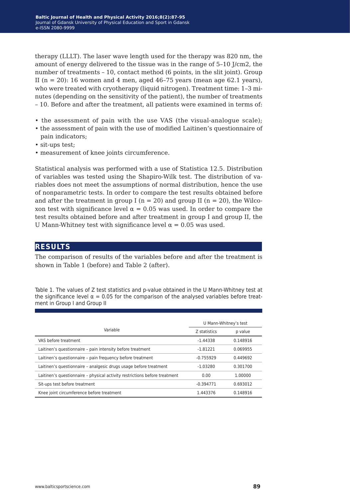therapy (LLLT). The laser wave length used for the therapy was 820 nm, the amount of energy delivered to the tissue was in the range of 5–10 J/cm2, the number of treatments – 10, contact method (6 points, in the slit joint). Group II ( $n = 20$ ): 16 women and 4 men, aged 46-75 years (mean age 62.1 years), who were treated with cryotherapy (liquid nitrogen). Treatment time: 1-3 minutes (depending on the sensitivity of the patient), the number of treatments – 10. Before and after the treatment, all patients were examined in terms of:

- the assessment of pain with the use VAS (the visual-analogue scale);
- the assessment of pain with the use of modified Laitinen's questionnaire of pain indicators;
- sit-ups test;
- measurement of knee joints circumference.

Statistical analysis was performed with a use of Statistica 12.5. Distribution of variables was tested using the Shapiro-Wilk test. The distribution of variables does not meet the assumptions of normal distribution, hence the use of nonparametric tests. In order to compare the test results obtained before and after the treatment in group I ( $n = 20$ ) and group II ( $n = 20$ ), the Wilcoxon test with significance level  $\alpha = 0.05$  was used. In order to compare the test results obtained before and after treatment in group I and group II, the U Mann-Whitney test with significance level  $\alpha = 0.05$  was used.

## **results**

The comparison of results of the variables before and after the treatment is shown in Table 1 (before) and Table 2 (after).

Table 1. The values of Z test statistics and p-value obtained in the U Mann-Whitney test at the significance level  $\alpha = 0.05$  for the comparison of the analysed variables before treatment in Group I and Group II

|                                                                            | U Mann-Whitney's test |          |  |  |
|----------------------------------------------------------------------------|-----------------------|----------|--|--|
| Variable                                                                   | Z statistics          | p value  |  |  |
| VAS before treatment                                                       | $-1.44338$            | 0.148916 |  |  |
| Laitinen's questionnaire - pain intensity before treatment                 | $-1.81221$            | 0.069955 |  |  |
| Laitinen's questionnaire - pain frequency before treatment                 | $-0.755929$           | 0.449692 |  |  |
| Laitinen's questionnaire - analgesic drugs usage before treatment          | $-1.03280$            | 0.301700 |  |  |
| Laitinen's questionnaire - physical activity restrictions before treatment | 0.00                  | 1.00000  |  |  |
| Sit-ups test before treatment                                              | $-0.394771$           | 0.693012 |  |  |
| Knee joint circumference before treatment                                  | 1.443376              | 0.148916 |  |  |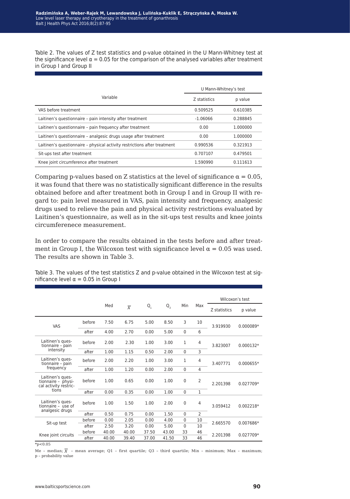Table 2. The values of Z test statistics and p-value obtained in the U Mann-Whitney test at the significance level  $\alpha = 0.05$  for the comparison of the analysed variables after treatment in Group I and Group II

|                                                                           | U Mann-Whitney's test |          |  |  |
|---------------------------------------------------------------------------|-----------------------|----------|--|--|
| Variable                                                                  | Z statistics          | p value  |  |  |
| VAS before treatment                                                      | 0.509525              | 0.610385 |  |  |
| Laitinen's questionnaire - pain intensity after treatment                 | $-1.06066$            | 0.288845 |  |  |
| Laitinen's questionnaire - pain frequency after treatment                 | 0.00                  | 1.000000 |  |  |
| Laitinen's questionnaire - analgesic drugs usage after treatment          | 0.00                  | 1.000000 |  |  |
| Laitinen's questionnaire - physical activity restrictions after treatment | 0.990536              | 0.321913 |  |  |
| Sit-ups test after treatment                                              | 0.707107              | 0.479501 |  |  |
| Knee joint circumference after treatment                                  | 1.590990              | 0.111613 |  |  |

Comparing p-values based on Z statistics at the level of significance  $\alpha = 0.05$ , it was found that there was no statistically significant difference in the results obtained before and after treatment both in Group I and in Group II with regard to: pain level measured in VAS, pain intensity and frequency, analgesic drugs used to relieve the pain and physical activity restrictions evaluated by Laitinen's questionnaire, as well as in the sit-ups test results and knee joints circumferenece measurement.

In order to compare the results obtained in the tests before and after treatment in Group I, the Wilcoxon test with significance level  $\alpha = 0.05$  was used. The results are shown in Table 3.

Table 3. The values of the test statistics Z and p-value obtained in the Wilcoxon test at significance level  $\alpha$  = 0.05 in Group I

|                                                                 |        |       |                |         |             |              |                | Wilcoxon's test |             |  |
|-----------------------------------------------------------------|--------|-------|----------------|---------|-------------|--------------|----------------|-----------------|-------------|--|
|                                                                 |        | Med   | $\overline{x}$ | $Q_{1}$ | $Q_{\rm R}$ | Min          | Max            | Z statistics    |             |  |
|                                                                 |        |       |                |         |             |              |                |                 | p value     |  |
| <b>VAS</b>                                                      | before | 7.50  | 6.75           | 5.00    | 8.50        | 3            | 10             | 3.919930        | 0.000089*   |  |
|                                                                 | after  | 4.00  | 2.70           | 0.00    | 5.00        | $\mathbf 0$  | 6              |                 |             |  |
| Laitinen's ques-<br>tionnaire - pain                            | before | 2.00  | 2.30           | 1.00    | 3.00        | 1            | $\overline{4}$ | 3.823007        | $0.000132*$ |  |
| intensity                                                       | after  | 1.00  | 1.15           | 0.50    | 2.00        | $\mathbf 0$  | 3              |                 |             |  |
| Laitinen's ques-<br>tionnaire - pain                            | before | 2.00  | 2.20           | 1.00    | 3.00        | 1            | 4              | 3.407771        | $0.000655*$ |  |
| frequency                                                       | after  | 1.00  | 1.20           | 0.00    | 2.00        | $\Omega$     | 4              |                 |             |  |
| Laitinen's ques-<br>tionnaire - physi-<br>cal activity restric- | before | 1.00  | 0.65           | 0.00    | 1.00        | $\mathbf 0$  | $\overline{2}$ | 2.201398        | 0.027709*   |  |
| tions                                                           | after  | 0.00  | 0.35           | 0.00    | 1.00        | $\mathbf{0}$ | 1              |                 |             |  |
| Laitinen's ques-<br>tionnaire - use of<br>analgesic drugs       | before | 1.00  | 1.50           | 1.00    | 2.00        | $\mathbf 0$  | 4              | 3.059412        | $0.002218*$ |  |
|                                                                 | after  | 0.50  | 0.75           | 0.00    | 1.50        | $\mathbf 0$  | $\overline{2}$ |                 |             |  |
| Sit-up test                                                     | before | 0.00  | 2.05           | 0.00    | 4.00        | $\mathbf 0$  | 10             | 2.665570        | 0.007686*   |  |
|                                                                 | after  | 2.50  | 3.20           | 0.00    | 5.00        | 0            | 10             |                 |             |  |
| Knee joint circuits                                             | before | 40.00 | 40.00          | 37.50   | 43.00       | 33           | 46             | 2.201398        | 0.027709*   |  |
|                                                                 | after  | 40.00 | 39.40          | 37.00   | 41.50       | 33           | 46             |                 |             |  |

 $*_{p<0.05}$ 

Me – median; *x* – mean average; Q1 – first quartile; Q3 – third quartile; Min – minimum; Max – maximum; p – probability value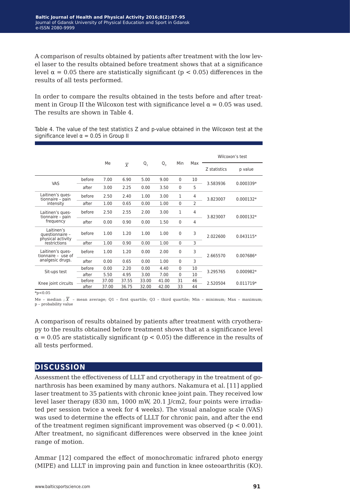A comparison of results obtained by patients after treatment with the low level laser to the results obtained before treatment shows that at a significance level  $\alpha$  = 0.05 there are statistically significant (p < 0.05) differences in the results of all tests performed.

In order to compare the results obtained in the tests before and after treatment in Group II the Wilcoxon test with significance level  $\alpha = 0.05$  was used. The results are shown in Table 4.

Table 4. The value of the test statistics Z and p-value obtained in the Wilcoxon test at the significance level  $\alpha = 0.05$  in Group II

|                                                                    |        | Me    |                |         |       |              |     | Wilcoxon's test |             |
|--------------------------------------------------------------------|--------|-------|----------------|---------|-------|--------------|-----|-----------------|-------------|
|                                                                    |        |       | $\overline{x}$ | $Q_{1}$ | Q,    | Min          | Max | Z statistics    | p value     |
| VAS                                                                | before | 7.00  | 6.90           | 5.00    | 9.00  | $\Omega$     | 10  | 3.583936        | $0.000339*$ |
|                                                                    | after  | 3.00  | 2.25           | 0.00    | 3.50  | $\mathbf 0$  | 5   |                 |             |
| Laitinen's ques-<br>tionnaire - pain<br>intensity                  | before | 2.50  | 2.40           | 1.00    | 3.00  | 1            | 4   | 3.823007        | $0.000132*$ |
|                                                                    | after  | 1.00  | 0.65           | 0.00    | 1.00  | $\mathbf{0}$ | 2   |                 |             |
| Laitinen's ques-<br>tionnaire - pain<br>frequency                  | before | 2.50  | 2.55           | 2.00    | 3.00  | $\mathbf{1}$ | 4   | 3.823007        | $0.000132*$ |
|                                                                    | after  | 0.00  | 0.90           | 0.00    | 1.50  | $\mathbf 0$  | 4   |                 |             |
| Laitinen's<br>questionnaire -<br>physical activity<br>restrictions | before | 1.00  | 1.20           | 1.00    | 1.00  | $\mathbf 0$  | 3   | 2.022600        | 0.043115*   |
|                                                                    | after  | 1.00  | 0.90           | 0.00    | 1.00  | $\Omega$     | 3   |                 |             |
| Laitinen's ques-<br>tionnaire - use of<br>analgesic drugs.         | before | 1.00  | 1.20           | 0.00    | 2.00  | $\mathbf 0$  | 3   | 2.665570        | 0.007686*   |
|                                                                    | after  | 0.00  | 0.65           | 0.00    | 1.00  | $\mathbf 0$  | 3   |                 |             |
| Sit-ups test                                                       | before | 0.00  | 2.20           | 0.00    | 4.40  | $\Omega$     | 10  | 3.295765        | $0.000982*$ |
|                                                                    | after  | 5.50  | 4.95           | 3.00    | 7.00  | $\mathbf{0}$ | 10  |                 |             |
| Knee joint circuits                                                | before | 37.00 | 37.55          | 33.00   | 41.00 | 31           | 46  | 2.520504        | 0.011719*   |
|                                                                    | after  | 37.00 | 36.75          | 32.00   | 42.00 | 33           | 44  |                 |             |

 $*_{p<0.05}$ 

Me - median ;  $\bar{x}$  - mean average; Q1 - first quartile; Q3 - third quartile; Min - minimum; Max - maximum; p – probability value

A comparison of results obtained by patients after treatment with cryotherapy to the results obtained before treatment shows that at a significance level  $\alpha$  = 0.05 are statistically significant (p < 0.05) the difference in the results of all tests performed.

### **discussion**

Assessment the effectiveness of LLLT and cryotherapy in the treatment of gonarthrosis has been examined by many authors. Nakamura et al. [11] applied laser treatment to 35 patients with chronic knee joint pain. They received low level laser therapy (830 nm, 1000 mW, 20.1 J/cm2, four points were irradiated per session twice a week for 4 weeks). The visual analogue scale (VAS) was used to determine the effects of LLLT for chronic pain, and after the end of the treatment regimen significant improvement was observed ( $p < 0.001$ ). After treatment, no significant differences were observed in the knee joint range of motion.

Ammar [12] compared the effect of monochromatic infrared photo energy (MIPE) and LLLT in improving pain and function in knee osteoarthritis (KO).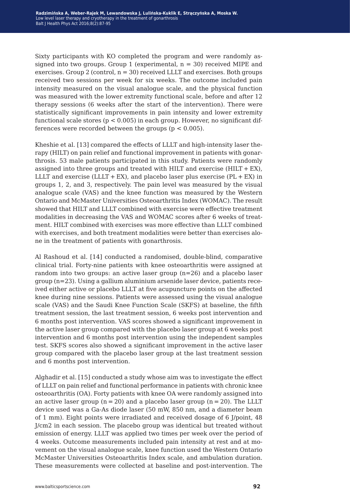Sixty participants with KO completed the program and were randomly assigned into two groups. Group 1 (experimental,  $n = 30$ ) received MIPE and exercises. Group 2 (control,  $n = 30$ ) received LLLT and exercises. Both groups received two sessions per week for six weeks. The outcome included pain intensity measured on the visual analogue scale, and the physical function was measured with the lower extremity functional scale, before and after 12 therapy sessions (6 weeks after the start of the intervention). There were statistically significant improvements in pain intensity and lower extremity functional scale stores ( $p < 0.005$ ) in each group. However, no significant differences were recorded between the groups ( $p < 0.005$ ).

Kheshie et al. [13] compared the effects of LLLT and high-intensity laser therapy (HILT) on pain relief and functional improvement in patients with gonarthrosis. 53 male patients participated in this study. Patients were randomly assigned into three groups and treated with HILT and exercise (HILT  $+$  EX), LLLT and exercise (LLLT  $+$  EX), and placebo laser plus exercise (PL  $+$  EX) in groups 1, 2, and 3, respectively. The pain level was measured by the visual analogue scale (VAS) and the knee function was measured by the Western Ontario and McMaster Universities Osteoarthritis Index (WOMAC). The result showed that HILT and LLLT combined with exercise were effective treatment modalities in decreasing the VAS and WOMAC scores after 6 weeks of treatment. HILT combined with exercises was more effective than LLLT combined with exercises, and both treatment modalities were better than exercises alone in the treatment of patients with gonarthrosis.

Al Rashoud et al. [14] conducted a randomised, double-blind, comparative clinical trial. Forty-nine patients with knee osteoarthritis were assigned at random into two groups: an active laser group (n=26) and a placebo laser group (n=23). Using a gallium aluminium arsenide laser device, patients received either active or placebo LLLT at five acupuncture points on the affected knee during nine sessions. Patients were assessed using the visual analogue scale (VAS) and the Saudi Knee Function Scale (SKFS) at baseline, the fifth treatment session, the last treatment session, 6 weeks post intervention and 6 months post intervention. VAS scores showed a significant improvement in the active laser group compared with the placebo laser group at 6 weeks post intervention and 6 months post intervention using the independent samples test. SKFS scores also showed a significant improvement in the active laser group compared with the placebo laser group at the last treatment session and 6 months post intervention.

Alghadir et al. [15] conducted a study whose aim was to investigate the effect of LLLT on pain relief and functional performance in patients with chronic knee osteoarthritis (OA). Forty patients with knee OA were randomly assigned into an active laser group ( $n = 20$ ) and a placebo laser group ( $n = 20$ ). The LLLT device used was a Ga-As diode laser (50 mW, 850 nm, and a diameter beam of 1 mm). Eight points were irradiated and received dosage of 6 J/point, 48 J/cm2 in each session. The placebo group was identical but treated without emission of energy. LLLT was applied two times per week over the period of 4 weeks. Outcome measurements included pain intensity at rest and at movement on the visual analogue scale, knee function used the Western Ontario McMaster Universities Osteoarthritis Index scale, and ambulation duration. These measurements were collected at baseline and post-intervention. The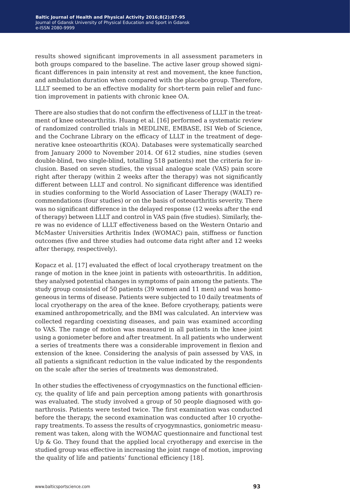results showed significant improvements in all assessment parameters in both groups compared to the baseline. The active laser group showed significant differences in pain intensity at rest and movement, the knee function, and ambulation duration when compared with the placebo group. Therefore, LLLT seemed to be an effective modality for short-term pain relief and function improvement in patients with chronic knee OA.

There are also studies that do not confirm the effectiveness of LLLT in the treatment of knee osteoarthritis. Huang et al. [16] performed a systematic review of randomized controlled trials in MEDLINE, EMBASE, ISI Web of Science, and the Cochrane Library on the efficacy of LLLT in the treatment of degenerative knee osteoarthritis (KOA). Databases were systematically searched from January 2000 to November 2014. Of 612 studies, nine studies (seven double-blind, two single-blind, totalling 518 patients) met the criteria for inclusion. Based on seven studies, the visual analogue scale (VAS) pain score right after therapy (within 2 weeks after the therapy) was not significantly different between LLLT and control. No significant difference was identified in studies conforming to the World Association of Laser Therapy (WALT) recommendations (four studies) or on the basis of osteoarthritis severity. There was no significant difference in the delayed response (12 weeks after the end of therapy) between LLLT and control in VAS pain (five studies). Similarly, there was no evidence of LLLT effectiveness based on the Western Ontario and McMaster Universities Arthritis Index (WOMAC) pain, stiffness or function outcomes (five and three studies had outcome data right after and 12 weeks after therapy, respectively).

Kopacz et al. [17] evaluated the effect of local cryotherapy treatment on the range of motion in the knee joint in patients with osteoarthritis. In addition, they analysed potential changes in symptoms of pain among the patients. The study group consisted of 50 patients (39 women and 11 men) and was homogeneous in terms of disease. Patients were subjected to 10 daily treatments of local cryotherapy on the area of the knee. Before cryotherapy, patients were examined anthropometrically, and the BMI was calculated. An interview was collected regarding coexisting diseases, and pain was examined according to VAS. The range of motion was measured in all patients in the knee joint using a goniometer before and after treatment. In all patients who underwent a series of treatments there was a considerable improvement in flexion and extension of the knee. Considering the analysis of pain assessed by VAS, in all patients a significant reduction in the value indicated by the respondents on the scale after the series of treatments was demonstrated.

In other studies the effectiveness of cryogymnastics on the functional efficiency, the quality of life and pain perception among patients with gonarthrosis was evaluated. The study involved a group of 50 people diagnosed with gonarthrosis. Patients were tested twice. The first examination was conducted before the therapy, the second examination was conducted after 10 cryotherapy treatments. To assess the results of cryogymnastics, goniometric measurement was taken, along with the WOMAC questionnaire and functional test Up & Go. They found that the applied local cryotherapy and exercise in the studied group was effective in increasing the joint range of motion, improving the quality of life and patients' functional efficiency [18].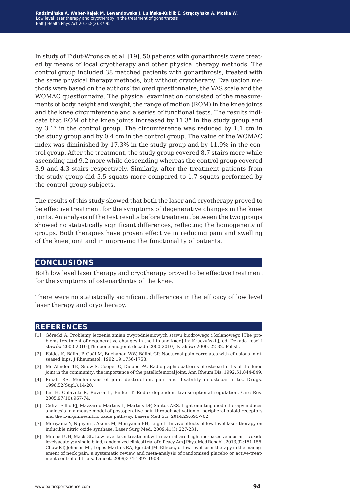In study of Fidut-Wrońska et al. [19], 50 patients with gonarthrosis were treated by means of local cryotherapy and other physical therapy methods. The control group included 38 matched patients with gonarthrosis, treated with the same physical therapy methods, but without cryotherapy. Evaluation methods were based on the authors' tailored questionnaire, the VAS scale and the WOMAC questionnaire. The physical examination consisted of the measurements of body height and weight, the range of motion (ROM) in the knee joints and the knee circumference and a series of functional tests. The results indicate that ROM of the knee joints increased by 11.3° in the study group and by 3.1° in the control group. The circumference was reduced by 1.1 cm in the study group and by 0.4 cm in the control group. The value of the WOMAC index was diminished by 17.3% in the study group and by 11.9% in the control group. After the treatment, the study group covered 8.7 stairs more while ascending and 9.2 more while descending whereas the control group covered 3.9 and 4.3 stairs respectively. Similarly, after the treatment patients from the study group did 5.5 squats more compared to 1.7 squats performed by the control group subjects.

The results of this study showed that both the laser and cryotherapy proved to be effective treatment for the symptoms of degenerative changes in the knee joints. An analysis of the test results before treatment between the two groups showed no statistically significant differences, reflecting the homogeneity of groups. Both therapies have proven effective in reducing pain and swelling of the knee joint and in improving the functionality of patients.

#### **conclusions**

Both low level laser therapy and cryotherapy proved to be effective treatment for the symptoms of osteoarthritis of the knee.

There were no statistically significant differences in the efficacy of low level laser therapy and cryotherapy.

#### **references**

- [1] Górecki A. Problemy leczenia zmian zwyrodnieniowych stawu biodrowego i kolanowego [The problems treatment of degenerative changes in the hip and knee] In: Kruczyński J, ed. Dekada kości i stawów 2000-2010 [The bone and joint decade 2000-2010]. Kraków; 2000, 22-32. Polish.
- [2] Földes K, Bálint P, Gaál M, Buchanan WW, Bálint GP. Nocturnal pain correlates with effusions in diseased hips. J Rheumatol. 1992;19:1756-1758.
- [3] Mc Alindon TE, Snow S, Cooper C, Dieppe PA. Radiographic patterns of osteoarthritis of the knee joint in the community: the importance of the patellofemoral joint. Ann Rheum Dis. 1992;51:844-849.
- [4] Pinals RS. Mechanisms of joint destruction, pain and disability in osteoarthritis. Drugs. 1996;52(Supl.):14-20.
- [5] Liu H, Colavitti R, Rovira II, Finkel T. Redox-dependent transcriptional regulation. Circ Res. 2005;97(10):967-74.
- [6] Cidral-Filho FJ, Mazzardo-Martins L, Martins DF, Santos ARS. Light emitting diode therapy induces analgesia in a mouse model of postoperative pain through activation of peripheral opioid receptors and the L-arginine/nitric oxide pathway. Lasers Med Sci. 2014;29:695-702.
- [7] Moriyama Y, Nguyen J, Akens M, Moriyama EH, Lilge L. In vivo effects of low-level laser therapy on inducible nitric oxide synthase. Laser Surg Med. 2009;41(3):227-231.
- [8] Mitchell UH, Mack GL. Low-level laser treatment with near-infrared light increases venous nitric oxide levels acutely: a single-blind, randomized clinical trial of efficacy. Am J Phys. Med Rehabil. 2013;92:151-156. Chow RT, Johnson MI, Lopes-Martins RA, Bjordal JM. Efficacy of low-level laser therapy in the management of neck pain: a systematic review and meta-analysis of randomised placebo or active-treatment controlled trials. Lancet. 2009;374:1897-1908.